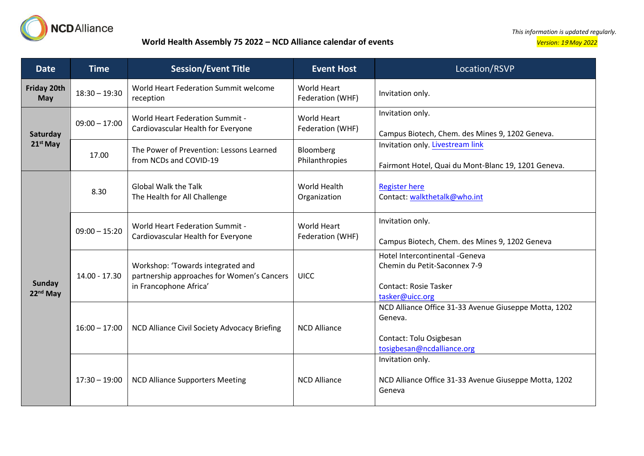

## **World Health Assembly 75 2022 – NCD Alliance calendar of events** *Version: 1*<sup>9</sup> *May 2022*

*This information is updated regularly.*

| <b>Date</b>                    | <b>Time</b>     | <b>Session/Event Title</b>                                                                                | <b>Event Host</b>                      | Location/RSVP                                                                                                             |
|--------------------------------|-----------------|-----------------------------------------------------------------------------------------------------------|----------------------------------------|---------------------------------------------------------------------------------------------------------------------------|
| Friday 20th<br>May             | $18:30 - 19:30$ | World Heart Federation Summit welcome<br>reception                                                        | <b>World Heart</b><br>Federation (WHF) | Invitation only.                                                                                                          |
| Saturday<br>$21st$ May         | $09:00 - 17:00$ | <b>World Heart Federation Summit -</b><br>Cardiovascular Health for Everyone                              | <b>World Heart</b><br>Federation (WHF) | Invitation only.<br>Campus Biotech, Chem. des Mines 9, 1202 Geneva.                                                       |
|                                | 17.00           | The Power of Prevention: Lessons Learned<br>from NCDs and COVID-19                                        | Bloomberg<br>Philanthropies            | Invitation only. Livestream link<br>Fairmont Hotel, Quai du Mont-Blanc 19, 1201 Geneva.                                   |
| Sunday<br>22 <sup>nd</sup> May | 8.30            | <b>Global Walk the Talk</b><br>The Health for All Challenge                                               | World Health<br>Organization           | <b>Register here</b><br>Contact: walkthetalk@who.int                                                                      |
|                                | $09:00 - 15:20$ | <b>World Heart Federation Summit -</b><br>Cardiovascular Health for Everyone                              | <b>World Heart</b><br>Federation (WHF) | Invitation only.<br>Campus Biotech, Chem. des Mines 9, 1202 Geneva                                                        |
|                                | 14.00 - 17.30   | Workshop: 'Towards integrated and<br>partnership approaches for Women's Cancers<br>in Francophone Africa' | <b>UICC</b>                            | Hotel Intercontinental -Geneva<br>Chemin du Petit-Saconnex 7-9<br><b>Contact: Rosie Tasker</b><br>tasker@uicc.org         |
|                                | $16:00 - 17:00$ | NCD Alliance Civil Society Advocacy Briefing                                                              | <b>NCD Alliance</b>                    | NCD Alliance Office 31-33 Avenue Giuseppe Motta, 1202<br>Geneva.<br>Contact: Tolu Osigbesan<br>tosigbesan@ncdalliance.org |
|                                | $17:30 - 19:00$ | <b>NCD Alliance Supporters Meeting</b>                                                                    | <b>NCD Alliance</b>                    | Invitation only.<br>NCD Alliance Office 31-33 Avenue Giuseppe Motta, 1202<br>Geneva                                       |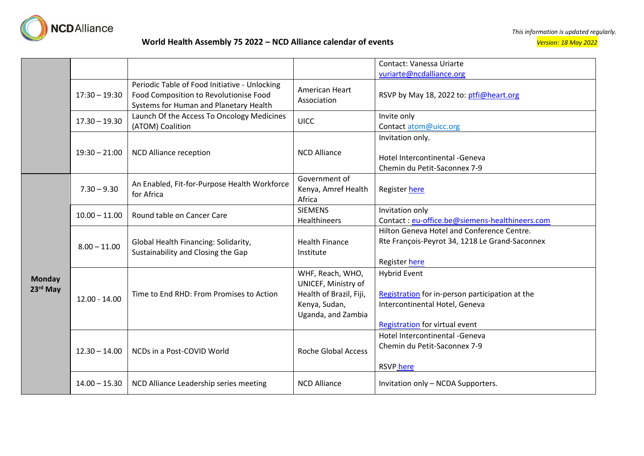

|                           |                 |                                                                                                                                   |                                                                                                           | Contact: Vanessa Uriarte                                                                                                                          |
|---------------------------|-----------------|-----------------------------------------------------------------------------------------------------------------------------------|-----------------------------------------------------------------------------------------------------------|---------------------------------------------------------------------------------------------------------------------------------------------------|
|                           |                 |                                                                                                                                   |                                                                                                           | vuriarte@ncdalliance.org                                                                                                                          |
|                           | $17:30 - 19:30$ | Periodic Table of Food Initiative - Unlocking<br>Food Composition to Revolutionise Food<br>Systems for Human and Planetary Health | American Heart<br>Association                                                                             | RSVP by May 18, 2022 to: ptfi@heart.org                                                                                                           |
|                           | $17.30 - 19.30$ | Launch Of the Access To Oncology Medicines<br>(ATOM) Coalition                                                                    | <b>UICC</b>                                                                                               | Invite only<br>Contact atom@uicc.org                                                                                                              |
|                           | $19:30 - 21:00$ | <b>NCD Alliance reception</b>                                                                                                     | <b>NCD Alliance</b>                                                                                       | Invitation only.<br>Hotel Intercontinental - Geneva<br>Chemin du Petit-Saconnex 7-9                                                               |
| <b>Monday</b><br>23rd May | $7.30 - 9.30$   | An Enabled, Fit-for-Purpose Health Workforce<br>for Africa                                                                        | Government of<br>Kenya, Amref Health<br>Africa                                                            | Register here                                                                                                                                     |
|                           | $10.00 - 11.00$ | Round table on Cancer Care                                                                                                        | <b>SIEMENS</b><br><b>Healthineers</b>                                                                     | Invitation only<br>Contact: eu-office.be@siemens-healthineers.com                                                                                 |
|                           | $8.00 - 11.00$  | Global Health Financing: Solidarity,<br>Sustainability and Closing the Gap                                                        | <b>Health Finance</b><br>Institute                                                                        | Hilton Geneva Hotel and Conference Centre.<br>Rte François-Peyrot 34, 1218 Le Grand-Saconnex<br>Register here                                     |
|                           | $12.00 - 14.00$ | Time to End RHD: From Promises to Action                                                                                          | WHF, Reach, WHO,<br>UNICEF, Ministry of<br>Health of Brazil, Fiji,<br>Kenya, Sudan,<br>Uganda, and Zambia | <b>Hybrid Event</b><br>Registration for in-person participation at the<br>Intercontinental Hotel, Geneva<br><b>Registration for virtual event</b> |
|                           | $12.30 - 14.00$ | NCDs in a Post-COVID World                                                                                                        | <b>Roche Global Access</b>                                                                                | Hotel Intercontinental - Geneva<br>Chemin du Petit-Saconnex 7-9<br><b>RSVP</b> here                                                               |
|                           | $14.00 - 15.30$ | NCD Alliance Leadership series meeting                                                                                            | <b>NCD Alliance</b>                                                                                       | Invitation only - NCDA Supporters.                                                                                                                |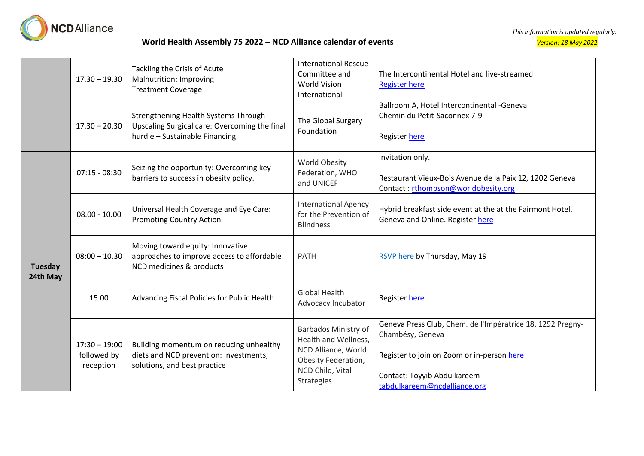

## **World Health Assembly 75 2022 – NCD Alliance calendar of events** *Version: 18 May 2022*

|                            | $17.30 - 19.30$                             | Tackling the Crisis of Acute<br>Malnutrition: Improving<br><b>Treatment Coverage</b>                                    | <b>International Rescue</b><br>Committee and<br><b>World Vision</b><br>International                                                | The Intercontinental Hotel and live-streamed<br><b>Register here</b>                                                                                                                        |
|----------------------------|---------------------------------------------|-------------------------------------------------------------------------------------------------------------------------|-------------------------------------------------------------------------------------------------------------------------------------|---------------------------------------------------------------------------------------------------------------------------------------------------------------------------------------------|
|                            | $17.30 - 20.30$                             | Strengthening Health Systems Through<br>Upscaling Surgical care: Overcoming the final<br>hurdle - Sustainable Financing | The Global Surgery<br>Foundation                                                                                                    | Ballroom A, Hotel Intercontinental -Geneva<br>Chemin du Petit-Saconnex 7-9<br>Register here                                                                                                 |
| <b>Tuesday</b><br>24th May | $07:15 - 08:30$                             | Seizing the opportunity: Overcoming key<br>barriers to success in obesity policy.                                       | World Obesity<br>Federation, WHO<br>and UNICEF                                                                                      | Invitation only.<br>Restaurant Vieux-Bois Avenue de la Paix 12, 1202 Geneva<br>Contact: rthompson@worldobesity.org                                                                          |
|                            | $08.00 - 10.00$                             | Universal Health Coverage and Eye Care:<br><b>Promoting Country Action</b>                                              | <b>International Agency</b><br>for the Prevention of<br><b>Blindness</b>                                                            | Hybrid breakfast side event at the at the Fairmont Hotel,<br>Geneva and Online. Register here                                                                                               |
|                            | $08:00 - 10.30$                             | Moving toward equity: Innovative<br>approaches to improve access to affordable<br>NCD medicines & products              | <b>PATH</b>                                                                                                                         | RSVP here by Thursday, May 19                                                                                                                                                               |
|                            | 15.00                                       | Advancing Fiscal Policies for Public Health                                                                             | <b>Global Health</b><br>Advocacy Incubator                                                                                          | Register here                                                                                                                                                                               |
|                            | $17:30 - 19:00$<br>followed by<br>reception | Building momentum on reducing unhealthy<br>diets and NCD prevention: Investments,<br>solutions, and best practice       | Barbados Ministry of<br>Health and Wellness,<br>NCD Alliance, World<br>Obesity Federation,<br>NCD Child, Vital<br><b>Strategies</b> | Geneva Press Club, Chem. de l'Impératrice 18, 1292 Pregny-<br>Chambésy, Geneva<br>Register to join on Zoom or in-person here<br>Contact: Toyyib Abdulkareem<br>tabdulkareem@ncdalliance.org |